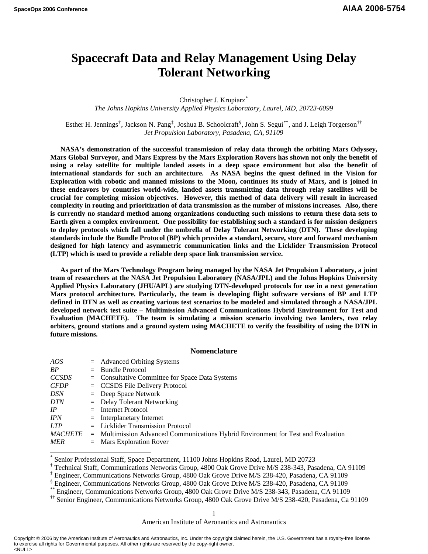l

# **Spacecraft Data and Relay Management Using Delay Tolerant Networking**

Christopher J. Krupiarz[\\*](#page-0-0)

*The Johns Hopkins University Applied Physics Laboratory, Laurel, MD, 20723-6099* 

Esther H. Jennings<sup>[†](#page-0-1)</sup>, Jackson N. Pang<sup>[‡](#page-0-2)</sup>, Joshua B. Schoolcraft<sup>[§](#page-0-3)</sup>, John S. Seguí<sup>[\\*\\*](#page-0-4)</sup>, and J. Leigh Torgerson<sup>[††](#page-0-5)</sup> *Jet Propulsion Laboratory, Pasadena, CA, 91109* 

**NASA's demonstration of the successful transmission of relay data through the orbiting Mars Odyssey, Mars Global Surveyor, and Mars Express by the Mars Exploration Rovers has shown not only the benefit of using a relay satellite for multiple landed assets in a deep space environment but also the benefit of international standards for such an architecture. As NASA begins the quest defined in the Vision for Exploration with robotic and manned missions to the Moon, continues its study of Mars, and is joined in these endeavors by countries world-wide, landed assets transmitting data through relay satellites will be crucial for completing mission objectives. However, this method of data delivery will result in increased complexity in routing and prioritization of data transmission as the number of missions increases. Also, there is currently no standard method among organizations conducting such missions to return these data sets to Earth given a complex environment. One possibility for establishing such a standard is for mission designers to deploy protocols which fall under the umbrella of Delay Tolerant Networking (DTN). These developing standards include the Bundle Protocol (BP) which provides a standard, secure, store and forward mechanism designed for high latency and asymmetric communication links and the Licklider Transmission Protocol (LTP) which is used to provide a reliable deep space link transmission service.** 

**As part of the Mars Technology Program being managed by the NASA Jet Propulsion Laboratory, a joint team of researchers at the NASA Jet Propulsion Laboratory (NASA/JPL) and the Johns Hopkins University Applied Physics Laboratory (JHU/APL) are studying DTN-developed protocols for use in a next generation Mars protocol architecture. Particularly, the team is developing flight software versions of BP and LTP defined in DTN as well as creating various test scenarios to be modeled and simulated through a NASA/JPL developed network test suite – Multimission Advanced Communications Hybrid Environment for Test and Evaluation (MACHETE). The team is simulating a mission scenario involving two landers, two relay orbiters, ground stations and a ground system using MACHETE to verify the feasibility of using the DTN in future missions.** 

## **Nomenclature**

| AOS            | $=$ Advanced Orbiting Systems                                                       |
|----------------|-------------------------------------------------------------------------------------|
| BP             | $=$ Bundle Protocol                                                                 |
| <b>CCSDS</b>   | $=$ Consultative Committee for Space Data Systems                                   |
| <b>CFDP</b>    | $=$ CCSDS File Delivery Protocol                                                    |
| DSN            | $=$ Deep Space Network                                                              |
| <b>DTN</b>     | $=$ Delay Tolerant Networking                                                       |
| IP             | $=$ Internet Protocol                                                               |
| <b>IPN</b>     | $=$ Interplanetary Internet                                                         |
| <b>LTP</b>     | = Licklider Transmission Protocol                                                   |
| <i>MACHETE</i> | $=$ Multimission Advanced Communications Hybrid Environment for Test and Evaluation |
| <b>MER</b>     | $=$ Mars Exploration Rover                                                          |

<span id="page-0-0"></span>\* Senior Professional Staff, Space Department, 11100 Johns Hopkins Road, Laurel, MD 20723

†† Senior Engineer, Communications Networks Group, 4800 Oak Grove Drive M/S 238-420, Pasadena, Ca 91109

American Institute of Aeronautics and Astronautics

<span id="page-0-1"></span><sup>†</sup> Technical Staff, Communications Networks Group, 4800 Oak Grove Drive M/S 238-343, Pasadena, CA 91109

<span id="page-0-2"></span><sup>‡</sup> Engineer, Communications Networks Group, 4800 Oak Grove Drive M/S 238-420, Pasadena, CA 91109

<sup>§</sup> Engineer, Communications Networks Group, 4800 Oak Grove Drive M/S 238-420, Pasadena, CA 91109

<span id="page-0-5"></span><span id="page-0-4"></span><span id="page-0-3"></span><sup>\*\*</sup> Engineer, Communications Networks Group, 4800 Oak Grove Drive M/S 238-343, Pasadena, CA 91109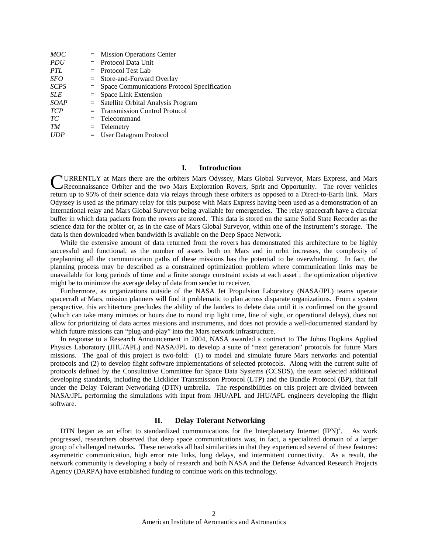| MOC         | $=$ Mission Operations Center                   |
|-------------|-------------------------------------------------|
| <i>PDU</i>  | $=$ Protocol Data Unit                          |
| PTL         | $=$ Protocol Test Lab                           |
| <i>SFO</i>  | $=$ Store-and-Forward Overlay                   |
| <b>SCPS</b> | $=$ Space Communications Protocol Specification |
| <b>SLE</b>  | $=$ Space Link Extension                        |
| <b>SOAP</b> | $=$ Satellite Orbital Analysis Program          |
| <b>TCP</b>  | = Transmission Control Protocol                 |
| ТC          | $=$ Telecommand                                 |
| TM          | $=$ Telemetry                                   |
| <b>UDP</b>  | $=$ User Datagram Protocol                      |

## **I. Introduction**

URRENTLY at Mars there are the orbiters Mars Odyssey, Mars Global Surveyor, Mars Express, and Mars CURRENTLY at Mars there are the orbiters Mars Odyssey, Mars Global Surveyor, Mars Express, and Mars Reconnaissance Orbiter and the two Mars Exploration Rovers, Sprit and Opportunity. The rover vehicles return up to 95% of their science data via relays through these orbiters as opposed to a Direct-to-Earth link. Mars Odyssey is used as the primary relay for this purpose with Mars Express having been used as a demonstration of an international relay and Mars Global Surveyor being available for emergencies. The relay spacecraft have a circular buffer in which data packets from the rovers are stored. This data is stored on the same Solid State Recorder as the science data for the orbiter or, as in the case of Mars Global Surveyor, within one of the instrument's storage. The data is then downloaded when bandwidth is available on the Deep Space Network.

While the extensive amount of data returned from the rovers has demonstrated this architecture to be highly successful and functional, as the number of assets both on Mars and in orbit increases, the complexity of preplanning all the communication paths of these missions has the potential to be overwhelming. In fact, the planning process may be described as a constrained optimization problem where communication links may be unavailable for long periods of time and a finite storage constraint exists at each asset<sup>1</sup>; the optimization objective might be to minimize the average delay of data from sender to receiver.

Furthermore, as organizations outside of the NASA Jet Propulsion Laboratory (NASA/JPL) teams operate spacecraft at Mars, mission planners will find it problematic to plan across disparate organizations. From a system perspective, this architecture precludes the ability of the landers to delete data until it is confirmed on the ground (which can take many minutes or hours due to round trip light time, line of sight, or operational delays), does not allow for prioritizing of data across missions and instruments, and does not provide a well-documented standard by which future missions can "plug-and-play" into the Mars network infrastructure.

In response to a Research Announcement in 2004, NASA awarded a contract to The Johns Hopkins Applied Physics Laboratory (JHU/APL) and NASA/JPL to develop a suite of "next generation" protocols for future Mars missions. The goal of this project is two-fold: (1) to model and simulate future Mars networks and potential protocols and (2) to develop flight software implementations of selected protocols. Along with the current suite of protocols defined by the Consultative Committee for Space Data Systems (CCSDS), the team selected additional developing standards, including the Licklider Transmission Protocol (LTP) and the Bundle Protocol (BP), that fall under the Delay Tolerant Networking (DTN) umbrella. The responsibilities on this project are divided between NASA/JPL performing the simulations with input from JHU/APL and JHU/APL engineers developing the flight software.

## **II. Delay Tolerant Networking**

DTN began as an effort to standardized communications for the Interplanetary Internet  $(IPN)^2$ . As work progressed, researchers observed that deep space communications was, in fact, a specialized domain of a larger group of challenged networks. These networks all had similarities in that they experienced several of these features: asymmetric communication, high error rate links, long delays, and intermittent connectivity. As a result, the network community is developing a body of research and both NASA and the Defense Advanced Research Projects Agency (DARPA) have established funding to continue work on this technology.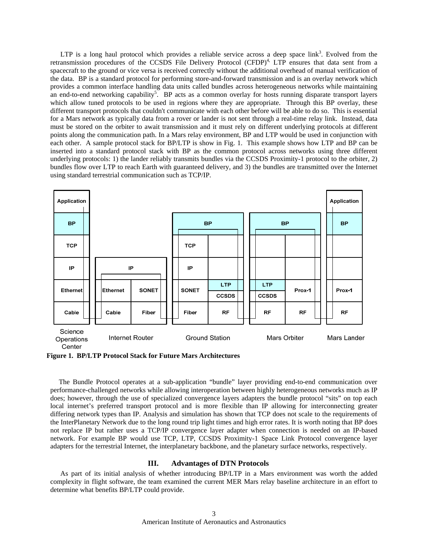LTP is a long haul protocol which provides a reliable service across a deep space link<sup>3</sup>. Evolved from the retransmission procedures of the CCSDS File Delivery Protocol (CFDP)<sup>4,</sup> LTP ensures that data sent from a spacecraft to the ground or vice versa is received correctly without the additional overhead of manual verification of the data. BP is a standard protocol for performing store-and-forward transmission and is an overlay network which provides a common interface handling data units called bundles across heterogeneous networks while maintaining an end-to-end networking capability<sup>5</sup>. BP acts as a common overlay for hosts running disparate transport layers which allow tuned protocols to be used in regions where they are appropriate. Through this BP overlay, these different transport protocols that couldn't communicate with each other before will be able to do so. This is essential for a Mars network as typically data from a rover or lander is not sent through a real-time relay link. Instead, data must be stored on the orbiter to await transmission and it must rely on different underlying protocols at different points along the communication path. In a Mars relay environment, BP and LTP would be used in conjunction with each other. A sample protocol stack for BP/LTP is show in Fig. 1. This example shows how LTP and BP can be inserted into a standard protocol stack with BP as the common protocol across networks using three different underlying protocols: 1) the lander reliably transmits bundles via the CCSDS Proximity-1 protocol to the orbiter, 2) bundles flow over LTP to reach Earth with guaranteed delivery, and 3) the bundles are transmitted over the Internet using standard terrestrial communication such as TCP/IP.



**Figure 1. BP/LTP Protocol Stack for Future Mars Architectures** 

The Bundle Protocol operates at a sub-application "bundle" layer providing end-to-end communication over performance-challenged networks while allowing interoperation between highly heterogeneous networks much as IP does; however, through the use of specialized convergence layers adapters the bundle protocol "sits" on top each local internet's preferred transport protocol and is more flexible than IP allowing for interconnecting greater differing network types than IP. Analysis and simulation has shown that TCP does not scale to the requirements of the InterPlanetary Network due to the long round trip light times and high error rates. It is worth noting that BP does not replace IP but rather uses a TCP/IP convergence layer adapter when connection is needed on an IP-based network. For example BP would use TCP, LTP, CCSDS Proximity-1 Space Link Protocol convergence layer adapters for the terrestrial Internet, the interplanetary backbone, and the planetary surface networks, respectively.

#### **III. Advantages of DTN Protocols**

As part of its initial analysis of whether introducing BP/LTP in a Mars environment was worth the added complexity in flight software, the team examined the current MER Mars relay baseline architecture in an effort to determine what benefits BP/LTP could provide.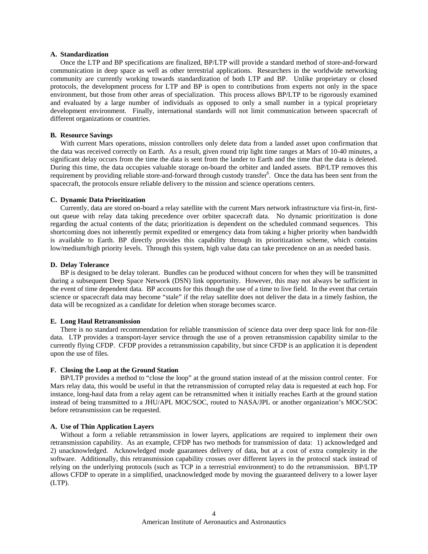## **A. Standardization**

Once the LTP and BP specifications are finalized, BP/LTP will provide a standard method of store-and-forward communication in deep space as well as other terrestrial applications. Researchers in the worldwide networking community are currently working towards standardization of both LTP and BP. Unlike proprietary or closed protocols, the development process for LTP and BP is open to contributions from experts not only in the space environment, but those from other areas of specialization. This process allows BP/LTP to be rigorously examined and evaluated by a large number of individuals as opposed to only a small number in a typical proprietary development environment. Finally, international standards will not limit communication between spacecraft of different organizations or countries.

## **B. Resource Savings**

With current Mars operations, mission controllers only delete data from a landed asset upon confirmation that the data was received correctly on Earth. As a result, given round trip light time ranges at Mars of 10-40 minutes, a significant delay occurs from the time the data is sent from the lander to Earth and the time that the data is deleted. During this time, the data occupies valuable storage on-board the orbiter and landed assets. BP/LTP removes this requirement by providing reliable store-and-forward through custody transfer<sup>6</sup>. Once the data has been sent from the spacecraft, the protocols ensure reliable delivery to the mission and science operations centers.

## **C. Dynamic Data Prioritization**

Currently, data are stored on-board a relay satellite with the current Mars network infrastructure via first-in, firstout queue with relay data taking precedence over orbiter spacecraft data. No dynamic prioritization is done regarding the actual contents of the data; prioritization is dependent on the scheduled command sequences. This shortcoming does not inherently permit expedited or emergency data from taking a higher priority when bandwidth is available to Earth. BP directly provides this capability through its prioritization scheme, which contains low/medium/high priority levels. Through this system, high value data can take precedence on an as needed basis.

#### **D. Delay Tolerance**

BP is designed to be delay tolerant. Bundles can be produced without concern for when they will be transmitted during a subsequent Deep Space Network (DSN) link opportunity. However, this may not always be sufficient in the event of time dependent data. BP accounts for this though the use of a time to live field. In the event that certain science or spacecraft data may become "stale" if the relay satellite does not deliver the data in a timely fashion, the data will be recognized as a candidate for deletion when storage becomes scarce.

#### **E. Long Haul Retransmission**

There is no standard recommendation for reliable transmission of science data over deep space link for non-file data. LTP provides a transport-layer service through the use of a proven retransmission capability similar to the currently flying CFDP. CFDP provides a retransmission capability, but since CFDP is an application it is dependent upon the use of files.

## **F. Closing the Loop at the Ground Station**

BP/LTP provides a method to "close the loop" at the ground station instead of at the mission control center. For Mars relay data, this would be useful in that the retransmission of corrupted relay data is requested at each hop. For instance, long-haul data from a relay agent can be retransmitted when it initially reaches Earth at the ground station instead of being transmitted to a JHU/APL MOC/SOC, routed to NASA/JPL or another organization's MOC/SOC before retransmission can be requested.

#### **A. Use of Thin Application Layers**

Without a form a reliable retransmission in lower layers, applications are required to implement their own retransmission capability. As an example, CFDP has two methods for transmission of data: 1) acknowledged and 2) unacknowledged. Acknowledged mode guarantees delivery of data, but at a cost of extra complexity in the software. Additionally, this retransmission capability crosses over different layers in the protocol stack instead of relying on the underlying protocols (such as TCP in a terrestrial environment) to do the retransmission. BP/LTP allows CFDP to operate in a simplified, unacknowledged mode by moving the guaranteed delivery to a lower layer (LTP).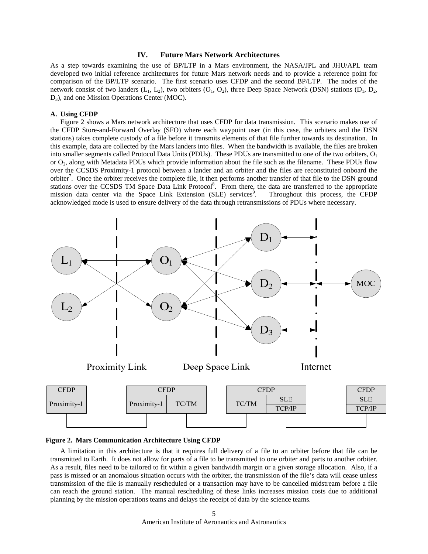## **IV. Future Mars Network Architectures**

As a step towards examining the use of BP/LTP in a Mars environment, the NASA/JPL and JHU/APL team developed two initial reference architectures for future Mars network needs and to provide a reference point for comparison of the BP/LTP scenario. The first scenario uses CFDP and the second BP/LTP. The nodes of the network consist of two landers  $(L_1, L_2)$ , two orbiters  $(O_1, O_2)$ , three Deep Space Network (DSN) stations  $(D_1, D_2)$ , D3), and one Mission Operations Center (MOC).

## **A. Using CFDP**

Figure 2 shows a Mars network architecture that uses CFDP for data transmission. This scenario makes use of the CFDP Store-and-Forward Overlay (SFO) where each waypoint user (in this case, the orbiters and the DSN stations) takes complete custody of a file before it transmits elements of that file further towards its destination. In this example, data are collected by the Mars landers into files. When the bandwidth is available, the files are broken into smaller segments called Protocol Data Units (PDUs). These PDUs are transmitted to one of the two orbiters,  $O<sub>1</sub>$ or O2, along with Metadata PDUs which provide information about the file such as the filename. These PDUs flow over the CCSDS Proximity-1 protocol between a lander and an orbiter and the files are reconstituted onboard the orbiter<sup>7</sup>. Once the orbiter receives the complete file, it then performs another transfer of that file to the DSN ground stations over the CCSDS TM Space Data Link Protocol<sup>8</sup>. From there, the data are transferred to the appropriate mission data center via the Space Link Extension (SLE) services<sup>9</sup>. . Throughout this process, the CFDP acknowledged mode is used to ensure delivery of the data through retransmissions of PDUs where necessary.





A limitation in this architecture is that it requires full delivery of a file to an orbiter before that file can be transmitted to Earth. It does not allow for parts of a file to be transmitted to one orbiter and parts to another orbiter. As a result, files need to be tailored to fit within a given bandwidth margin or a given storage allocation. Also, if a pass is missed or an anomalous situation occurs with the orbiter, the transmission of the file's data will cease unless transmission of the file is manually rescheduled or a transaction may have to be cancelled midstream before a file can reach the ground station. The manual rescheduling of these links increases mission costs due to additional planning by the mission operations teams and delays the receipt of data by the science teams.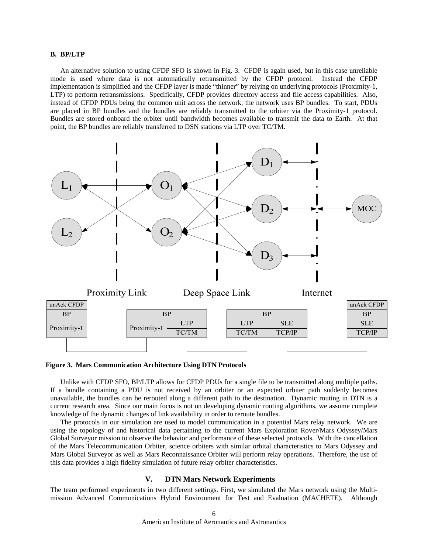## **B. BP/LTP**

An alternative solution to using CFDP SFO is shown in Fig. 3. CFDP is again used, but in this case unreliable mode is used where data is not automatically retransmitted by the CFDP protocol. Instead the CFDP implementation is simplified and the CFDP layer is made "thinner" by relying on underlying protocols (Proximity-1, LTP) to perform retransmissions. Specifically, CFDP provides directory access and file access capabilities. Also, instead of CFDP PDUs being the common unit across the network, the network uses BP bundles. To start, PDUs are placed in BP bundles and the bundles are reliably transmitted to the orbiter via the Proximity-1 protocol. Bundles are stored onboard the orbiter until bandwidth becomes available to transmit the data to Earth. At that point, the BP bundles are reliably transferred to DSN stations via LTP over TC/TM.



**Figure 3. Mars Communication Architecture Using DTN Protocols** 

Unlike with CFDP SFO, BP/LTP allows for CFDP PDUs for a single file to be transmitted along multiple paths. If a bundle containing a PDU is not received by an orbiter or an expected orbiter path suddenly becomes unavailable, the bundles can be rerouted along a different path to the destination. Dynamic routing in DTN is a current research area. Since our main focus is not on developing dynamic routing algorithms, we assume complete knowledge of the dynamic changes of link availability in order to reroute bundles.

The protocols in our simulation are used to model communication in a potential Mars relay network. We are using the topology of and historical data pertaining to the current Mars Exploration Rover/Mars Odyssey/Mars Global Surveyor mission to observe the behavior and performance of these selected protocols. With the cancellation of the Mars Telecommunication Orbiter, science orbiters with similar orbital characteristics to Mars Odyssey and Mars Global Surveyor as well as Mars Reconnaissance Orbiter will perform relay operations. Therefore, the use of this data provides a high fidelity simulation of future relay orbiter characteristics.

## **V. DTN Mars Network Experiments**

The team performed experiments in two different settings. First, we simulated the Mars network using the Multimission Advanced Communications Hybrid Environment for Test and Evaluation (MACHETE). Although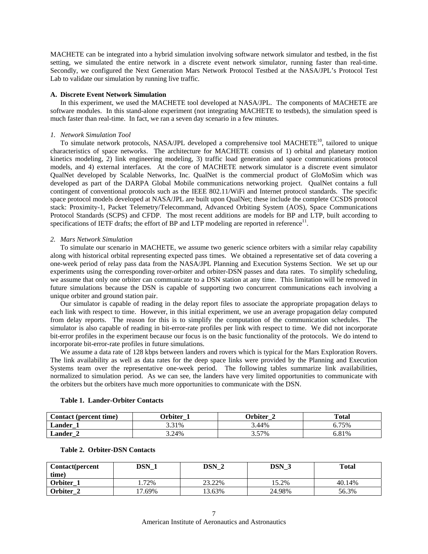MACHETE can be integrated into a hybrid simulation involving software network simulator and testbed, in the fist setting, we simulated the entire network in a discrete event network simulator, running faster than real-time. Secondly, we configured the Next Generation Mars Network Protocol Testbed at the NASA/JPL's Protocol Test Lab to validate our simulation by running live traffic.

### **A. Discrete Event Network Simulation**

In this experiment, we used the MACHETE tool developed at NASA/JPL. The components of MACHETE are software modules. In this stand-alone experiment (not integrating MACHETE to testbeds), the simulation speed is much faster than real-time. In fact, we ran a seven day scenario in a few minutes.

## *1. Network Simulation Tool*

To simulate network protocols, NASA/JPL developed a comprehensive tool MACHETE<sup>10</sup>, tailored to unique characteristics of space networks. The architecture for MACHETE consists of 1) orbital and planetary motion kinetics modeling, 2) link engineering modeling, 3) traffic load generation and space communications protocol models, and 4) external interfaces. At the core of MACHETE network simulator is a discrete event simulator QualNet developed by Scalable Networks, Inc. QualNet is the commercial product of GloMoSim which was developed as part of the DARPA Global Mobile communications networking project. QualNet contains a full contingent of conventional protocols such as the IEEE 802.11/WiFi and Internet protocol standards. The specific space protocol models developed at NASA/JPL are built upon QualNet; these include the complete CCSDS protocol stack: Proximity-1, Packet Telemetry/Telecommand, Advanced Orbiting System (AOS), Space Communications Protocol Standards (SCPS) and CFDP. The most recent additions are models for BP and LTP, built according to specifications of IETF drafts; the effort of BP and LTP modeling are reported in reference<sup>11</sup>.

## *2. Mars Network Simulation*

To simulate our scenario in MACHETE, we assume two generic science orbiters with a similar relay capability along with historical orbital representing expected pass times. We obtained a representative set of data covering a one-week period of relay pass data from the NASA/JPL Planning and Execution Systems Section. We set up our experiments using the corresponding rover-orbiter and orbiter-DSN passes and data rates. To simplify scheduling, we assume that only one orbiter can communicate to a DSN station at any time. This limitation will be removed in future simulations because the DSN is capable of supporting two concurrent communications each involving a unique orbiter and ground station pair.

Our simulator is capable of reading in the delay report files to associate the appropriate propagation delays to each link with respect to time. However, in this initial experiment, we use an average propagation delay computed from delay reports. The reason for this is to simplify the computation of the communication schedules. The simulator is also capable of reading in bit-error-rate profiles per link with respect to time. We did not incorporate bit-error profiles in the experiment because our focus is on the basic functionality of the protocols. We do intend to incorporate bit-error-rate profiles in future simulations.

We assume a data rate of 128 kbps between landers and rovers which is typical for the Mars Exploration Rovers. The link availability as well as data rates for the deep space links were provided by the Planning and Execution Systems team over the representative one-week period. The following tables summarize link availabilities, normalized to simulation period. As we can see, the landers have very limited opportunities to communicate with the orbiters but the orbiters have much more opportunities to communicate with the DSN.

| <b>Contact (percent time)</b> | Orbiter | <b>Orbiter</b> | Total |
|-------------------------------|---------|----------------|-------|
| <b>Lander</b>                 | 3.31%   | 3.44%          | 75%   |
| Lander                        | 3.24%   | 3.57%          | 6.81% |

#### **Table 1. Lander-Orbiter Contacts**

| <b>Table 2. Orbiter-DSN Contacts</b> |  |
|--------------------------------------|--|
|--------------------------------------|--|

| Contact(percent<br>time) | $DSN_1$ | DSN 2  | DSN 3  | <b>Total</b> |
|--------------------------|---------|--------|--------|--------------|
| Orbiter                  | .72%    | 23.22% | 15.2%  | 40.14%       |
| Orbiter                  | '7.69%  | 13.63% | 24.98% | 56.3%        |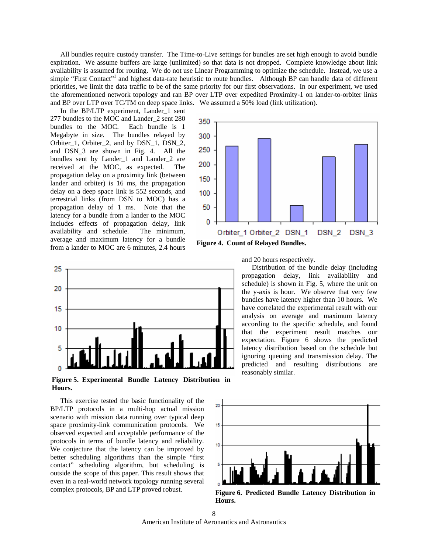All bundles require custody transfer. The Time-to-Live settings for bundles are set high enough to avoid bundle expiration. We assume buffers are large (unlimited) so that data is not dropped. Complete knowledge about link availability is assumed for routing. We do not use Linear Programming to optimize the schedule. Instead, we use a simple "First Contact"<sup>1</sup> and highest data-rate heuristic to route bundles. Although BP can handle data of different priorities, we limit the data traffic to be of the same priority for our first observations. In our experiment, we used the aforementioned network topology and ran BP over LTP over expedited Proximity-1 on lander-to-orbiter links and BP over LTP over TC/TM on deep space links. We assumed a 50% load (link utilization).

In the BP/LTP experiment, Lander\_1 sent 277 bundles to the MOC and Lander\_2 sent 280 bundles to the MOC. Each bundle is 1 Megabyte in size. The bundles relayed by Orbiter 1, Orbiter 2, and by DSN 1, DSN 2, and DSN\_3 are shown in Fig. 4. All the bundles sent by Lander\_1 and Lander\_2 are received at the MOC, as expected. The propagation delay on a proximity link (between lander and orbiter) is 16 ms, the propagation delay on a deep space link is 552 seconds, and terrestrial links (from DSN to MOC) has a propagation delay of 1 ms. Note that the latency for a bundle from a lander to the MOC includes effects of propagation delay, link availability and schedule. The minimum, average and maximum latency for a bundle from a lander to MOC are 6 minutes, 2.4 hours



**Figure 5. Experimental Bundle Latency Distribution in Hours.** 

This exercise tested the basic functionality of the BP/LTP protocols in a multi-hop actual mission scenario with mission data running over typical deep space proximity-link communication protocols. We observed expected and acceptable performance of the protocols in terms of bundle latency and reliability. We conjecture that the latency can be improved by better scheduling algorithms than the simple "first contact" scheduling algorithm, but scheduling is outside the scope of this paper. This result shows that even in a real-world network topology running several complex protocols, BP and LTP proved robust. **Figure 6. Predicted Bundle Latency Distribution in** 



and 20 hours respectively.

Distribution of the bundle delay (including propagation delay, link availability and schedule) is shown in Fig. 5, where the unit on the y-axis is hour. We observe that very few bundles have latency higher than 10 hours. We have correlated the experimental result with our analysis on average and maximum latency according to the specific schedule, and found that the experiment result matches our expectation. Figure 6 shows the predicted latency distribution based on the schedule but ignoring queuing and transmission delay. The predicted and resulting distributions are reasonably similar.



**Hours.**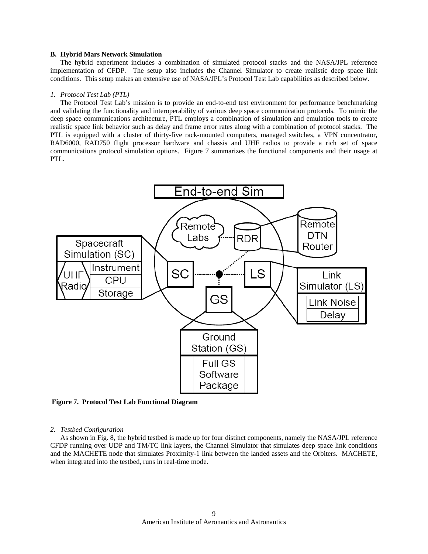#### **B. Hybrid Mars Network Simulation**

The hybrid experiment includes a combination of simulated protocol stacks and the NASA/JPL reference implementation of CFDP. The setup also includes the Channel Simulator to create realistic deep space link conditions. This setup makes an extensive use of NASA/JPL's Protocol Test Lab capabilities as described below.

#### *1. Protocol Test Lab (PTL)*

The Protocol Test Lab's mission is to provide an end-to-end test environment for performance benchmarking and validating the functionality and interoperability of various deep space communication protocols. To mimic the deep space communications architecture, PTL employs a combination of simulation and emulation tools to create realistic space link behavior such as delay and frame error rates along with a combination of protocol stacks. The PTL is equipped with a cluster of thirty-five rack-mounted computers, managed switches, a VPN concentrator, RAD6000, RAD750 flight processor hardware and chassis and UHF radios to provide a rich set of space communications protocol simulation options. Figure 7 summarizes the functional components and their usage at PTL.



**Figure 7. Protocol Test Lab Functional Diagram** 

#### *2. Testbed Configuration*

As shown in Fig. 8, the hybrid testbed is made up for four distinct components, namely the NASA/JPL reference CFDP running over UDP and TM/TC link layers, the Channel Simulator that simulates deep space link conditions and the MACHETE node that simulates Proximity-1 link between the landed assets and the Orbiters. MACHETE, when integrated into the testbed, runs in real-time mode.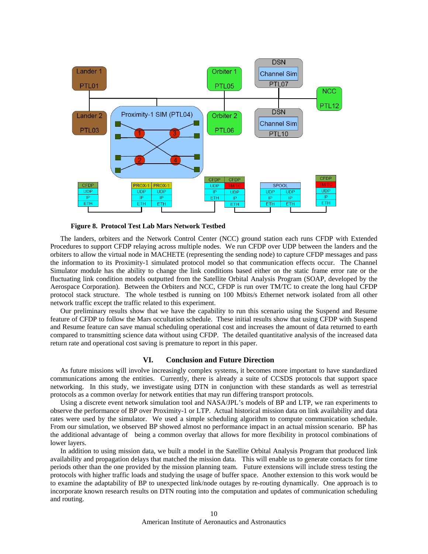

**Figure 8. Protocol Test Lab Mars Network Testbed** 

 The landers, orbiters and the Network Control Center (NCC) ground station each runs CFDP with Extended Procedures to support CFDP relaying across multiple nodes. We run CFDP over UDP between the landers and the orbiters to allow the virtual node in MACHETE (representing the sending node) to capture CFDP messages and pass the information to its Proximity-1 simulated protocol model so that communication effects occur. The Channel Simulator module has the ability to change the link conditions based either on the static frame error rate or the fluctuating link condition models outputted from the Satellite Orbital Analysis Program (SOAP, developed by the Aerospace Corporation). Between the Orbiters and NCC, CFDP is run over TM/TC to create the long haul CFDP protocol stack structure. The whole testbed is running on 100 Mbits/s Ethernet network isolated from all other network traffic except the traffic related to this experiment.

 Our preliminary results show that we have the capability to run this scenario using the Suspend and Resume feature of CFDP to follow the Mars occultation schedule. These initial results show that using CFDP with Suspend and Resume feature can save manual scheduling operational cost and increases the amount of data returned to earth compared to transmitting science data without using CFDP. The detailed quantitative analysis of the increased data return rate and operational cost saving is premature to report in this paper.

## **VI. Conclusion and Future Direction**

As future missions will involve increasingly complex systems, it becomes more important to have standardized communications among the entities. Currently, there is already a suite of CCSDS protocols that support space networking. In this study, we investigate using DTN in conjunction with these standards as well as terrestrial protocols as a common overlay for network entities that may run differing transport protocols.

Using a discrete event network simulation tool and NASA/JPL's models of BP and LTP, we ran experiments to observe the performance of BP over Proximity-1 or LTP. Actual historical mission data on link availability and data rates were used by the simulator. We used a simple scheduling algorithm to compute communication schedule. From our simulation, we observed BP showed almost no performance impact in an actual mission scenario. BP has the additional advantage of being a common overlay that allows for more flexibility in protocol combinations of lower layers.

In addition to using mission data, we built a model in the Satellite Orbital Analysis Program that produced link availability and propagation delays that matched the mission data. This will enable us to generate contacts for time periods other than the one provided by the mission planning team. Future extensions will include stress testing the protocols with higher traffic loads and studying the usage of buffer space. Another extension to this work would be to examine the adaptability of BP to unexpected link/node outages by re-routing dynamically. One approach is to incorporate known research results on DTN routing into the computation and updates of communication scheduling and routing.